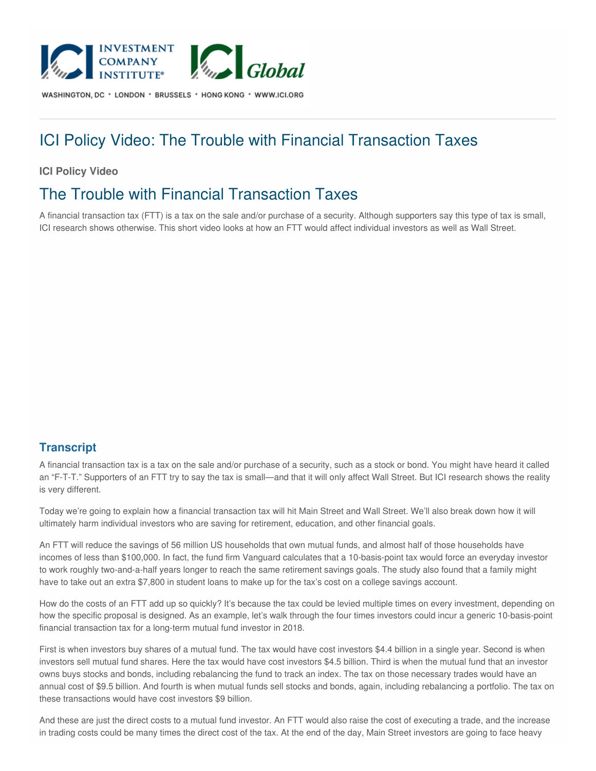

WASHINGTON, DC \* LONDON \* BRUSSELS \* HONG KONG \* WWW.ICI.ORG

## ICI Policy Video: The Trouble with Financial Transaction Taxes

## **ICI Policy Video**

## The Trouble with Financial Transaction Taxes

A financial transaction tax (FTT) is a tax on the sale and/or purchase of a security. Although supporters say this type of tax is small, ICI research shows otherwise. This short video looks at how an FTT would affect individual investors as well as Wall Street.

## **Transcript**

A financial transaction tax is a tax on the sale and/or purchase of a security, such as a stock or bond. You might have heard it called an "F-T-T." Supporters of an FTT try to say the tax is small—and that it will only affect Wall Street. But ICI research shows the reality is very different.

Today we're going to explain how a financial transaction tax will hit Main Street and Wall Street. We'll also break down how it will ultimately harm individual investors who are saving for retirement, education, and other financial goals.

An FTT will reduce the savings of 56 million US households that own mutual funds, and almost half of those households have incomes of less than \$100,000. In fact, the fund firm Vanguard calculates that a 10-basis-point tax would force an everyday investor to work roughly two-and-a-half years longer to reach the same retirement savings goals. The study also found that a family might have to take out an extra \$7,800 in student loans to make up for the tax's cost on a college savings account.

How do the costs of an FTT add up so quickly? It's because the tax could be levied multiple times on every investment, depending on how the specific proposal is designed. As an example, let's walk through the four times investors could incur a generic 10-basis-point financial transaction tax for a long-term mutual fund investor in 2018.

First is when investors buy shares of a mutual fund. The tax would have cost investors \$4.4 billion in a single year. Second is when investors sell mutual fund shares. Here the tax would have cost investors \$4.5 billion. Third is when the mutual fund that an investor owns buys stocks and bonds, including rebalancing the fund to track an index. The tax on those necessary trades would have an annual cost of \$9.5 billion. And fourth is when mutual funds sell stocks and bonds, again, including rebalancing a portfolio. The tax on these transactions would have cost investors \$9 billion.

And these are just the direct costs to a mutual fund investor. An FTT would also raise the cost of executing a trade, and the increase in trading costs could be many times the direct cost of the tax. At the end of the day, Main Street investors are going to face heavy